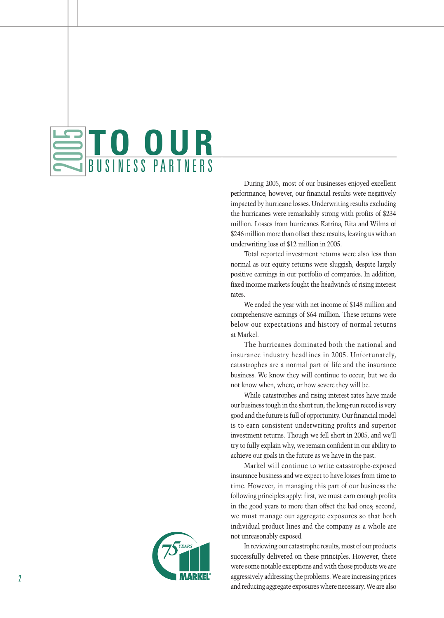## **TO OUR** BUSINESS PARTNERS  $\qquad \qquad \qquad$ LS

During 2005, most of our businesses enjoyed excellent performance; however, our financial results were negatively impacted by hurricane losses. Underwriting results excluding the hurricanes were remarkably strong with profits of \$234 million. Losses from hurricanes Katrina, Rita and Wilma of \$246 million more than offset these results, leaving us with an underwriting loss of \$12 million in 2005.

Total reported investment returns were also less than normal as our equity returns were sluggish, despite largely positive earnings in our portfolio of companies. In addition, fixed income markets fought the headwinds of rising interest rates.

We ended the year with net income of \$148 million and comprehensive earnings of \$64 million. These returns were below our expectations and history of normal returns at Markel.

The hurricanes dominated both the national and insurance industry headlines in 2005. Unfortunately, catastrophes are a normal part of life and the insurance business. We know they will continue to occur, but we do not know when, where, or how severe they will be.

While catastrophes and rising interest rates have made our business tough in the short run, the long-run record is very good and the future is full of opportunity. Our financial model is to earn consistent underwriting profits and superior investment returns. Though we fell short in 2005, and we'll try to fully explain why, we remain confident in our ability to achieve our goals in the future as we have in the past.

Markel will continue to write catastrophe-exposed insurance business and we expect to have losses from time to time. However, in managing this part of our business the following principles apply: first, we must earn enough profits in the good years to more than offset the bad ones; second, we must manage our aggregate exposures so that both individual product lines and the company as a whole are not unreasonably exposed.

In reviewing our catastrophe results, most of our products successfully delivered on these principles. However, there were some notable exceptions and with those products we are aggressively addressing the problems. We are increasing prices and reducing aggregate exposures where necessary. We are also

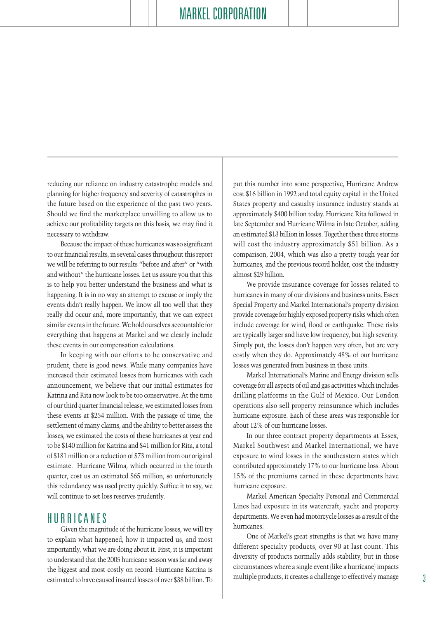reducing our reliance on industry catastrophe models and planning for higher frequency and severity of catastrophes in the future based on the experience of the past two years. Should we find the marketplace unwilling to allow us to achieve our profitability targets on this basis, we may find it necessary to withdraw.

Because the impact of these hurricanes was so significant to our financial results, in several cases throughout this report we will be referring to our results "before and after" or "with and without" the hurricane losses. Let us assure you that this is to help you better understand the business and what is happening. It is in no way an attempt to excuse or imply the events didn't really happen. We know all too well that they really did occur and, more importantly, that we can expect similar events in the future. We hold ourselves accountable for everything that happens at Markel and we clearly include these events in our compensation calculations.

In keeping with our efforts to be conservative and prudent, there is good news. While many companies have increased their estimated losses from hurricanes with each announcement, we believe that our initial estimates for Katrina and Rita now look to be too conservative. At the time of our third quarter financial release, we estimated losses from these events at \$254 million. With the passage of time, the settlement of many claims, and the ability to better assess the losses, we estimated the costs of these hurricanes at year end to be \$140 million for Katrina and \$41 million for Rita, a total of \$181 million or a reduction of \$73 million from our original estimate. Hurricane Wilma, which occurred in the fourth quarter, cost us an estimated \$65 million, so unfortunately this redundancy was used pretty quickly. Suffice it to say, we will continue to set loss reserves prudently.

## HURRICANES

Given the magnitude of the hurricane losses, we will try to explain what happened, how it impacted us, and most importantly, what we are doing about it. First, it is important to understand that the 2005 hurricane season was far and away the biggest and most costly on record. Hurricane Katrina is estimated to have caused insured losses of over \$38 billion. To

put this number into some perspective, Hurricane Andrew cost \$16 billion in 1992 and total equity capital in the United States property and casualty insurance industry stands at approximately \$400 billion today. Hurricane Rita followed in late September and Hurricane Wilma in late October, adding an estimated \$13 billion in losses. Together these three storms will cost the industry approximately \$51 billion. As a comparison, 2004, which was also a pretty tough year for hurricanes, and the previous record holder, cost the industry almost \$29 billion.

We provide insurance coverage for losses related to hurricanes in many of our divisions and business units. Essex Special Property and Markel International's property division provide coverage for highly exposed property risks which often include coverage for wind, flood or earthquake. These risks are typically larger and have low frequency, but high severity. Simply put, the losses don't happen very often, but are very costly when they do. Approximately 48% of our hurricane losses was generated from business in these units.

Markel International's Marine and Energy division sells coverage for all aspects of oil and gas activities which includes drilling platforms in the Gulf of Mexico. Our London operations also sell property reinsurance which includes hurricane exposure. Each of these areas was responsible for about 12% of our hurricane losses.

In our three contract property departments at Essex, Markel Southwest and Markel International, we have exposure to wind losses in the southeastern states which contributed approximately 17% to our hurricane loss. About 15% of the premiums earned in these departments have hurricane exposure.

Markel American Specialty Personal and Commercial Lines had exposure in its watercraft, yacht and property departments. We even had motorcycle losses as a result of the hurricanes.

One of Markel's great strengths is that we have many different specialty products, over 90 at last count. This diversity of products normally adds stability, but in those circumstances where a single event (like a hurricane) impacts multiple products, it creates a challenge to effectively manage 3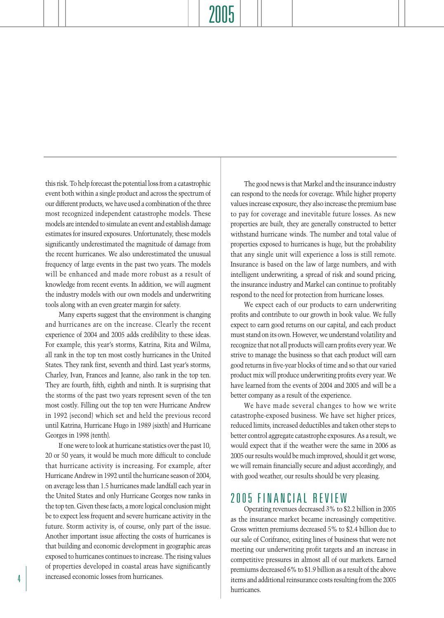this risk. To help forecast the potential loss from a catastrophic event both within a single product and across the spectrum of our different products, we have used a combination of the three most recognized independent catastrophe models. These models are intended to simulate an event and establish damage estimates for insured exposures. Unfortunately, these models significantly underestimated the magnitude of damage from the recent hurricanes. We also underestimated the unusual frequency of large events in the past two years. The models will be enhanced and made more robust as a result of knowledge from recent events. In addition, we will augment the industry models with our own models and underwriting tools along with an even greater margin for safety.

Many experts suggest that the environment is changing and hurricanes are on the increase. Clearly the recent experience of 2004 and 2005 adds credibility to these ideas. For example, this year's storms, Katrina, Rita and Wilma, all rank in the top ten most costly hurricanes in the United States. They rank first, seventh and third. Last year's storms, Charley, Ivan, Frances and Jeanne, also rank in the top ten. They are fourth, fifth, eighth and ninth. It is surprising that the storms of the past two years represent seven of the ten most costly. Filling out the top ten were Hurricane Andrew in 1992 (second) which set and held the previous record until Katrina, Hurricane Hugo in 1989 (sixth) and Hurricane Georges in 1998 (tenth).

If one were to look at hurricane statistics over the past 10, 20 or 50 years, it would be much more difficult to conclude that hurricane activity is increasing. For example, after Hurricane Andrew in 1992 until the hurricane season of 2004, on average less than 1.5 hurricanes made landfall each year in the United States and only Hurricane Georges now ranks in the top ten. Given these facts, a more logical conclusion might be to expect less frequent and severe hurricane activity in the future. Storm activity is, of course, only part of the issue. Another important issue affecting the costs of hurricanes is that building and economic development in geographic areas exposed to hurricanes continues to increase. The rising values of properties developed in coastal areas have significantly 4 increased economic losses from hurricanes.

The good news is that Markel and the insurance industry can respond to the needs for coverage. While higher property values increase exposure, they also increase the premium base to pay for coverage and inevitable future losses. As new properties are built, they are generally constructed to better withstand hurricane winds. The number and total value of properties exposed to hurricanes is huge, but the probability that any single unit will experience a loss is still remote. Insurance is based on the law of large numbers, and with intelligent underwriting, a spread of risk and sound pricing, the insurance industry and Markel can continue to profitably respond to the need for protection from hurricane losses.

We expect each of our products to earn underwriting profits and contribute to our growth in book value. We fully expect to earn good returns on our capital, and each product must stand on its own. However, we understand volatility and recognize that not all products will earn profits every year. We strive to manage the business so that each product will earn good returns in five-year blocks of time and so that our varied product mix will produce underwriting profits every year. We have learned from the events of 2004 and 2005 and will be a better company as a result of the experience.

We have made several changes to how we write catastrophe-exposed business. We have set higher prices, reduced limits, increased deductibles and taken other steps to better control aggregate catastrophe exposures. As a result, we would expect that if the weather were the same in 2006 as 2005 our results would be much improved, should it get worse, we will remain financially secure and adjust accordingly, and with good weather, our results should be very pleasing.

## 2005 FINANCIAL REVIEW

Operating revenues decreased 3% to \$2.2 billion in 2005 as the insurance market became increasingly competitive. Gross written premiums decreased 5% to \$2.4 billion due to our sale of Corifrance, exiting lines of business that were not meeting our underwriting profit targets and an increase in competitive pressures in almost all of our markets. Earned premiums decreased 6% to \$1.9 billion as a result of the above items and additional reinsurance costs resulting from the 2005 hurricanes.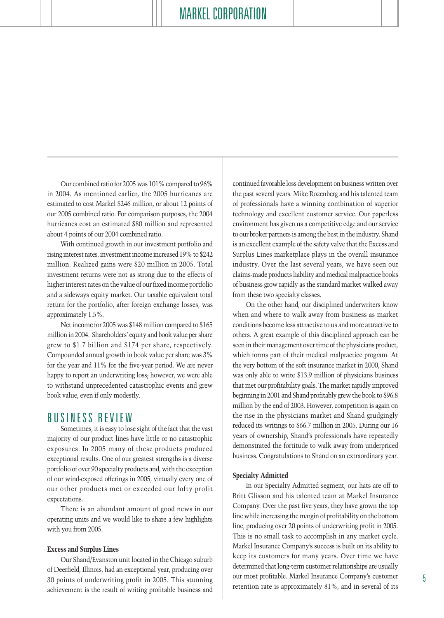Our combined ratio for 2005 was 101% compared to 96% in 2004. As mentioned earlier, the 2005 hurricanes are estimated to cost Markel \$246 million, or about 12 points of our 2005 combined ratio. For comparison purposes, the 2004 hurricanes cost an estimated \$80 million and represented about 4 points of our 2004 combined ratio.

With continued growth in our investment portfolio and rising interest rates, investment income increased 19% to \$242 million. Realized gains were \$20 million in 2005. Total investment returns were not as strong due to the effects of higher interest rates on the value of our fixed income portfolio and a sideways equity market. Our taxable equivalent total return for the portfolio, after foreign exchange losses, was approximately 1.5%.

Net income for 2005 was \$148 million compared to \$165 million in 2004. Shareholders' equity and book value per share grew to \$1.7 billion and \$174 per share, respectively. Compounded annual growth in book value per share was 3% for the year and 11% for the five-year period. We are never happy to report an underwriting loss; however, we were able to withstand unprecedented catastrophic events and grew book value, even if only modestly.

### BUSINESS REVIEW

Sometimes, it is easy to lose sight of the fact that the vast majority of our product lines have little or no catastrophic exposures. In 2005 many of these products produced exceptional results. One of our greatest strengths is a diverse portfolio of over 90 specialty products and, with the exception of our wind-exposed offerings in 2005, virtually every one of our other products met or exceeded our lofty profit expectations.

There is an abundant amount of good news in our operating units and we would like to share a few highlights with you from 2005.

#### **Excess and Surplus Lines**

Our Shand/Evanston unit located in the Chicago suburb of Deerfield, Illinois, had an exceptional year, producing over 30 points of underwriting profit in 2005. This stunning achievement is the result of writing profitable business and continued favorable loss development on business written over the past several years. Mike Rozenberg and his talented team of professionals have a winning combination of superior technology and excellent customer service. Our paperless environment has given us a competitive edge and our service to our broker partners is among the best in the industry. Shand is an excellent example of the safety valve that the Excess and Surplus Lines marketplace plays in the overall insurance industry. Over the last several years, we have seen our claims-made products liability and medical malpractice books of business grow rapidly as the standard market walked away from these two specialty classes.

On the other hand, our disciplined underwriters know when and where to walk away from business as market conditions become less attractive to us and more attractive to others. A great example of this disciplined approach can be seen in their management over time of the physicians product, which forms part of their medical malpractice program. At the very bottom of the soft insurance market in 2000, Shand was only able to write \$13.9 million of physicians business that met our profitability goals. The market rapidly improved beginning in 2001 and Shand profitably grew the book to \$96.8 million by the end of 2003. However, competition is again on the rise in the physicians market and Shand grudgingly reduced its writings to \$66.7 million in 2005. During our 16 years of ownership, Shand's professionals have repeatedly demonstrated the fortitude to walk away from underpriced business. Congratulations to Shand on an extraordinary year.

#### **Specialty Admitted**

In our Specialty Admitted segment, our hats are off to Britt Glisson and his talented team at Markel Insurance Company. Over the past five years, they have grown the top line while increasing the margin of profitability on the bottom line, producing over 20 points of underwriting profit in 2005. This is no small task to accomplish in any market cycle. Markel Insurance Company's success is built on its ability to keep its customers for many years. Over time we have determined that long-term customer relationships are usually our most profitable. Markel Insurance Company's customer retention rate is approximately 81%, and in several of its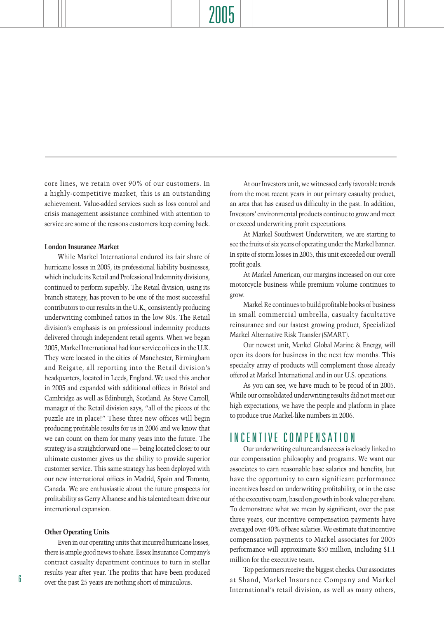core lines, we retain over 90% of our customers. In a highly-competitive market, this is an outstanding achievement. Value-added services such as loss control and crisis management assistance combined with attention to service are some of the reasons customers keep coming back.

#### **London Insurance Market**

While Markel International endured its fair share of hurricane losses in 2005, its professional liability businesses, which include its Retail and Professional Indemnity divisions, continued to perform superbly. The Retail division, using its branch strategy, has proven to be one of the most successful contributors to our results in the U.K., consistently producing underwriting combined ratios in the low 80s. The Retail division's emphasis is on professional indemnity products delivered through independent retail agents. When we began 2005, Markel International had four service offices in the U.K. They were located in the cities of Manchester, Birmingham and Reigate, all reporting into the Retail division's headquarters, located in Leeds, England. We used this anchor in 2005 and expanded with additional offices in Bristol and Cambridge as well as Edinburgh, Scotland. As Steve Carroll, manager of the Retail division says, "all of the pieces of the puzzle are in place!" These three new offices will begin producing profitable results for us in 2006 and we know that we can count on them for many years into the future. The strategy is a straightforward one — being located closer to our ultimate customer gives us the ability to provide superior customer service. This same strategy has been deployed with our new international offices in Madrid, Spain and Toronto, Canada. We are enthusiastic about the future prospects for profitability as Gerry Albanese and his talented team drive our international expansion.

#### **Other Operating Units**

Even in our operating units that incurred hurricane losses, there is ample good news to share. Essex Insurance Company's contract casualty department continues to turn in stellar results year after year. The profits that have been produced  $\boxed{6}$  over the past 25 years are nothing short of miraculous.

At our Investors unit, we witnessed early favorable trends from the most recent years in our primary casualty product, an area that has caused us difficulty in the past. In addition, Investors' environmental products continue to grow and meet or exceed underwriting profit expectations.

At Markel Southwest Underwriters, we are starting to see the fruits of six years of operating under the Markel banner. In spite of storm losses in 2005, this unit exceeded our overall profit goals.

At Markel American, our margins increased on our core motorcycle business while premium volume continues to grow.

Markel Re continues to build profitable books of business in small commercial umbrella, casualty facultative reinsurance and our fastest growing product, Specialized Markel Alternative Risk Transfer (SMART).

Our newest unit, Markel Global Marine & Energy, will open its doors for business in the next few months. This specialty array of products will complement those already offered at Markel International and in our U.S. operations.

As you can see, we have much to be proud of in 2005. While our consolidated underwriting results did not meet our high expectations, we have the people and platform in place to produce true Markel-like numbers in 2006.

## INCENTIVE COMPENSATION

Our underwriting culture and success is closely linked to our compensation philosophy and programs. We want our associates to earn reasonable base salaries and benefits, but have the opportunity to earn significant performance incentives based on underwriting profitability, or in the case of the executive team, based on growth in book value per share. To demonstrate what we mean by significant, over the past three years, our incentive compensation payments have averaged over 40% of base salaries. We estimate that incentive compensation payments to Markel associates for 2005 performance will approximate \$50 million, including \$1.1 million for the executive team.

Top performers receive the biggest checks. Our associates at Shand, Markel Insurance Company and Markel International's retail division, as well as many others,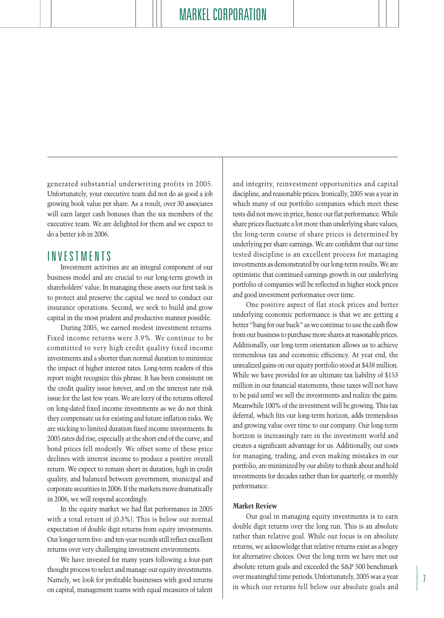generated substantial underwriting profits in 2005. Unfortunately, your executive team did not do as good a job growing book value per share. As a result, over 30 associates will earn larger cash bonuses than the six members of the executive team. We are delighted for them and we expect to do a better job in 2006.

### INVESTMENTS

Investment activities are an integral component of our business model and are crucial to our long-term growth in shareholders' value. In managing these assets our first task is to protect and preserve the capital we need to conduct our insurance operations. Second, we seek to build and grow capital in the most prudent and productive manner possible.

During 2005, we earned modest investment returns. Fixed income returns were 3.9%. We continue to be committed to very high credit quality fixed income investments and a shorter than normal duration to minimize the impact of higher interest rates. Long-term readers of this report might recognize this phrase. It has been consistent on the credit quality issue forever, and on the interest rate risk issue for the last few years. We are leery of the returns offered on long-dated fixed income investments as we do not think they compensate us for existing and future inflation risks. We are sticking to limited duration fixed income investments. In 2005 rates did rise, especially at the short end of the curve, and bond prices fell modestly. We offset some of these price declines with interest income to produce a positive overall return. We expect to remain short in duration, high in credit quality, and balanced between government, municipal and corporate securities in 2006. If the markets move dramatically in 2006, we will respond accordingly.

In the equity market we had flat performance in 2005 with a total return of (0.3%). This is below our normal expectation of double digit returns from equity investments. Our longer term five- and ten-year records still reflect excellent returns over very challenging investment environments.

We have invested for many years following a four-part thought process to select and manage our equity investments. Namely, we look for profitable businesses with good returns on capital, management teams with equal measures of talent

and integrity, reinvestment opportunities and capital discipline, and reasonable prices. Ironically, 2005 was a year in which many of our portfolio companies which meet these tests did not move in price, hence our flat performance. While share prices fluctuate a lot more than underlying share values, the long-term course of share prices is determined by underlying per share earnings. We are confident that our time tested discipline is an excellent process for managing investments as demonstrated by our long-term results. We are optimistic that continued earnings growth in our underlying portfolio of companies will be reflected in higher stock prices and good investment performance over time.

One positive aspect of flat stock prices and better underlying economic performance is that we are getting a better "bang for our buck" as we continue to use the cash flow from our business to purchase more shares at reasonable prices. Additionally, our long-term orientation allows us to achieve tremendous tax and economic efficiency. At year end, the unrealized gains on our equity portfolio stood at \$438 million. While we have provided for an ultimate tax liability of \$153 million in our financial statements, these taxes will not have to be paid until we sell the investments and realize the gains. Meanwhile 100% of the investment will be growing. This tax deferral, which fits our long-term horizon, adds tremendous and growing value over time to our company. Our long-term horizon is increasingly rare in the investment world and creates a significant advantage for us. Additionally, our costs for managing, trading, and even making mistakes in our portfolio, are minimized by our ability to think about and hold investments for decades rather than for quarterly, or monthly performance.

### **Market Review**

Our goal in managing equity investments is to earn double digit returns over the long run. This is an absolute rather than relative goal. While our focus is on absolute returns, we acknowledge that relative returns exist as a bogey for alternative choices. Over the long term we have met our absolute return goals and exceeded the S&P 500 benchmark over meaningful time periods. Unfortunately, 2005 was a year in which our returns fell below our absolute goals and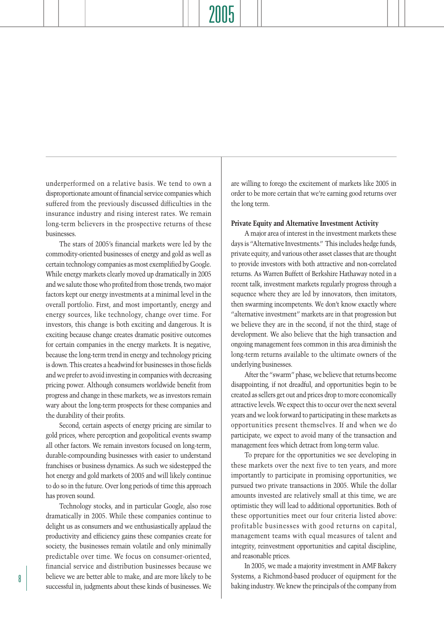underperformed on a relative basis. We tend to own a disproportionate amount of financial service companies which suffered from the previously discussed difficulties in the insurance industry and rising interest rates. We remain long-term believers in the prospective returns of these businesses.

The stars of 2005's financial markets were led by the commodity-oriented businesses of energy and gold as well as certain technology companies as most exemplified by Google. While energy markets clearly moved up dramatically in 2005 and we salute those who profited from those trends, two major factors kept our energy investments at a minimal level in the overall portfolio. First, and most importantly, energy and energy sources, like technology, change over time. For investors, this change is both exciting and dangerous. It is exciting because change creates dramatic positive outcomes for certain companies in the energy markets. It is negative, because the long-term trend in energy and technology pricing is down. This creates a headwind for businesses in those fields and we prefer to avoid investing in companies with decreasing pricing power. Although consumers worldwide benefit from progress and change in these markets, we as investors remain wary about the long-term prospects for these companies and the durability of their profits.

Second, certain aspects of energy pricing are similar to gold prices, where perception and geopolitical events swamp all other factors. We remain investors focused on long-term, durable-compounding businesses with easier to understand franchises or business dynamics. As such we sidestepped the hot energy and gold markets of 2005 and will likely continue to do so in the future. Over long periods of time this approach has proven sound.

Technology stocks, and in particular Google, also rose dramatically in 2005. While these companies continue to delight us as consumers and we enthusiastically applaud the productivity and efficiency gains these companies create for society, the businesses remain volatile and only minimally predictable over time. We focus on consumer-oriented, financial service and distribution businesses because we believe we are better able to make, and are more likely to be successful in, judgments about these kinds of businesses. We

are willing to forego the excitement of markets like 2005 in order to be more certain that we're earning good returns over the long term.

#### **Private Equity and Alternative Investment Activity**

A major area of interest in the investment markets these days is "Alternative Investments." This includes hedge funds, private equity, and various other asset classes that are thought to provide investors with both attractive and non-correlated returns. As Warren Buffett of Berkshire Hathaway noted in a recent talk, investment markets regularly progress through a sequence where they are led by innovators, then imitators, then swarming incompetents. We don't know exactly where "alternative investment" markets are in that progression but we believe they are in the second, if not the third, stage of development. We also believe that the high transaction and ongoing management fees common in this area diminish the long-term returns available to the ultimate owners of the underlying businesses.

After the "swarm" phase, we believe that returns become disappointing, if not dreadful, and opportunities begin to be created as sellers get out and prices drop to more economically attractive levels. We expect this to occur over the next several years and we look forward to participating in these markets as opportunities present themselves. If and when we do participate, we expect to avoid many of the transaction and management fees which detract from long-term value.

To prepare for the opportunities we see developing in these markets over the next five to ten years, and more importantly to participate in promising opportunities, we pursued two private transactions in 2005. While the dollar amounts invested are relatively small at this time, we are optimistic they will lead to additional opportunities. Both of these opportunities meet our four criteria listed above: profitable businesses with good returns on capital, management teams with equal measures of talent and integrity, reinvestment opportunities and capital discipline, and reasonable prices.

In 2005, we made a majority investment in AMF Bakery Systems, a Richmond-based producer of equipment for the baking industry. We knew the principals of the company from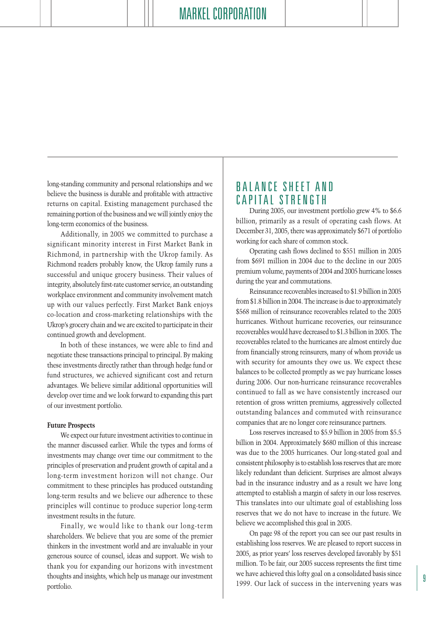long-standing community and personal relationships and we believe the business is durable and profitable with attractive returns on capital. Existing management purchased the remaining portion of the business and we will jointly enjoy the long-term economics of the business.

Additionally, in 2005 we committed to purchase a significant minority interest in First Market Bank in Richmond, in partnership with the Ukrop family. As Richmond readers probably know, the Ukrop family runs a successful and unique grocery business. Their values of integrity, absolutely first-rate customer service, an outstanding workplace environment and community involvement match up with our values perfectly. First Market Bank enjoys co-location and cross-marketing relationships with the Ukrop's grocery chain and we are excited to participate in their continued growth and development.

In both of these instances, we were able to find and negotiate these transactions principal to principal. By making these investments directly rather than through hedge fund or fund structures, we achieved significant cost and return advantages. We believe similar additional opportunities will develop over time and we look forward to expanding this part of our investment portfolio.

#### **Future Prospects**

We expect our future investment activities to continue in the manner discussed earlier. While the types and forms of investments may change over time our commitment to the principles of preservation and prudent growth of capital and a long-term investment horizon will not change. Our commitment to these principles has produced outstanding long-term results and we believe our adherence to these principles will continue to produce superior long-term investment results in the future.

Finally, we would like to thank our long-term shareholders. We believe that you are some of the premier thinkers in the investment world and are invaluable in your generous source of counsel, ideas and support. We wish to thank you for expanding our horizons with investment thoughts and insights, which help us manage our investment portfolio.

## BALANCE SHEET AND CAPITAL STRENGTH

During 2005, our investment portfolio grew 4% to \$6.6 billion, primarily as a result of operating cash flows. At December 31, 2005, there was approximately \$671 of portfolio working for each share of common stock.

Operating cash flows declined to \$551 million in 2005 from \$691 million in 2004 due to the decline in our 2005 premium volume, payments of 2004 and 2005 hurricane losses during the year and commutations.

Reinsurance recoverables increased to \$1.9 billion in 2005 from \$1.8 billion in 2004. The increase is due to approximately \$568 million of reinsurance recoverables related to the 2005 hurricanes. Without hurricane recoveries, our reinsurance recoverables would have decreased to \$1.3 billion in 2005. The recoverables related to the hurricanes are almost entirely due from financially strong reinsurers, many of whom provide us with security for amounts they owe us. We expect these balances to be collected promptly as we pay hurricane losses during 2006. Our non-hurricane reinsurance recoverables continued to fall as we have consistently increased our retention of gross written premiums, aggressively collected outstanding balances and commuted with reinsurance companies that are no longer core reinsurance partners.

Loss reserves increased to \$5.9 billion in 2005 from \$5.5 billion in 2004. Approximately \$680 million of this increase was due to the 2005 hurricanes. Our long-stated goal and consistent philosophy is to establish loss reserves that are more likely redundant than deficient. Surprises are almost always bad in the insurance industry and as a result we have long attempted to establish a margin of safety in our loss reserves. This translates into our ultimate goal of establishing loss reserves that we do not have to increase in the future. We believe we accomplished this goal in 2005.

On page 98 of the report you can see our past results in establishing loss reserves. We are pleased to report success in 2005, as prior years' loss reserves developed favorably by \$51 million. To be fair, our 2005 success represents the first time we have achieved this lofty goal on a consolidated basis since 1999. Our lack of success in the intervening years was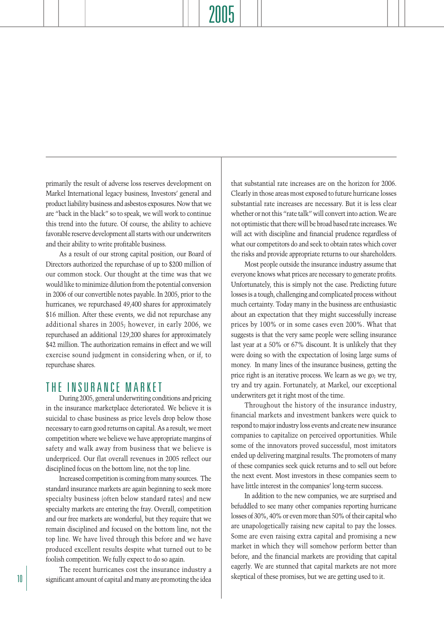primarily the result of adverse loss reserves development on Markel International legacy business, Investors' general and product liability business and asbestos exposures. Now that we are "back in the black" so to speak, we will work to continue this trend into the future. Of course, the ability to achieve favorable reserve development all starts with our underwriters and their ability to write profitable business.

As a result of our strong capital position, our Board of Directors authorized the repurchase of up to \$200 million of our common stock. Our thought at the time was that we would like to minimize dilution from the potential conversion in 2006 of our convertible notes payable. In 2005, prior to the hurricanes, we repurchased 49,400 shares for approximately \$16 million. After these events, we did not repurchase any additional shares in 2005; however, in early 2006, we repurchased an additional 129,200 shares for approximately \$42 million. The authorization remains in effect and we will exercise sound judgment in considering when, or if, to repurchase shares.

## THE INSURANCE MARKET

During 2005, general underwriting conditions and pricing in the insurance marketplace deteriorated. We believe it is suicidal to chase business as price levels drop below those necessary to earn good returns on capital. As a result, we meet competition where we believe we have appropriate margins of safety and walk away from business that we believe is underpriced. Our flat overall revenues in 2005 reflect our disciplined focus on the bottom line, not the top line.

Increased competition is coming from many sources. The standard insurance markets are again beginning to seek more specialty business (often below standard rates) and new specialty markets are entering the fray. Overall, competition and our free markets are wonderful, but they require that we remain disciplined and focused on the bottom line, not the top line. We have lived through this before and we have produced excellent results despite what turned out to be foolish competition. We fully expect to do so again.

The recent hurricanes cost the insurance industry a 10 significant amount of capital and many are promoting the idea skeptical of these promises, but we are getting used to it.

that substantial rate increases are on the horizon for 2006. Clearly in those areas most exposed to future hurricane losses substantial rate increases are necessary. But it is less clear whether or not this "rate talk" will convert into action. We are not optimistic that there will be broad based rate increases. We will act with discipline and financial prudence regardless of what our competitors do and seek to obtain rates which cover the risks and provide appropriate returns to our shareholders.

Most people outside the insurance industry assume that everyone knows what prices are necessary to generate profits. Unfortunately, this is simply not the case. Predicting future losses is a tough, challenging and complicated process without much certainty. Today many in the business are enthusiastic about an expectation that they might successfully increase prices by 100% or in some cases even 200%. What that suggests is that the very same people were selling insurance last year at a 50% or 67% discount. It is unlikely that they were doing so with the expectation of losing large sums of money. In many lines of the insurance business, getting the price right is an iterative process. We learn as we go; we try, try and try again. Fortunately, at Markel, our exceptional underwriters get it right most of the time.

Throughout the history of the insurance industry, financial markets and investment bankers were quick to respond to major industry loss events and create new insurance companies to capitalize on perceived opportunities. While some of the innovators proved successful, most imitators ended up delivering marginal results. The promoters of many of these companies seek quick returns and to sell out before the next event. Most investors in these companies seem to have little interest in the companies' long-term success.

In addition to the new companies, we are surprised and befuddled to see many other companies reporting hurricane losses of 30%, 40% or even more than 50% of their capital who are unapologetically raising new capital to pay the losses. Some are even raising extra capital and promising a new market in which they will somehow perform better than before, and the financial markets are providing that capital eagerly. We are stunned that capital markets are not more